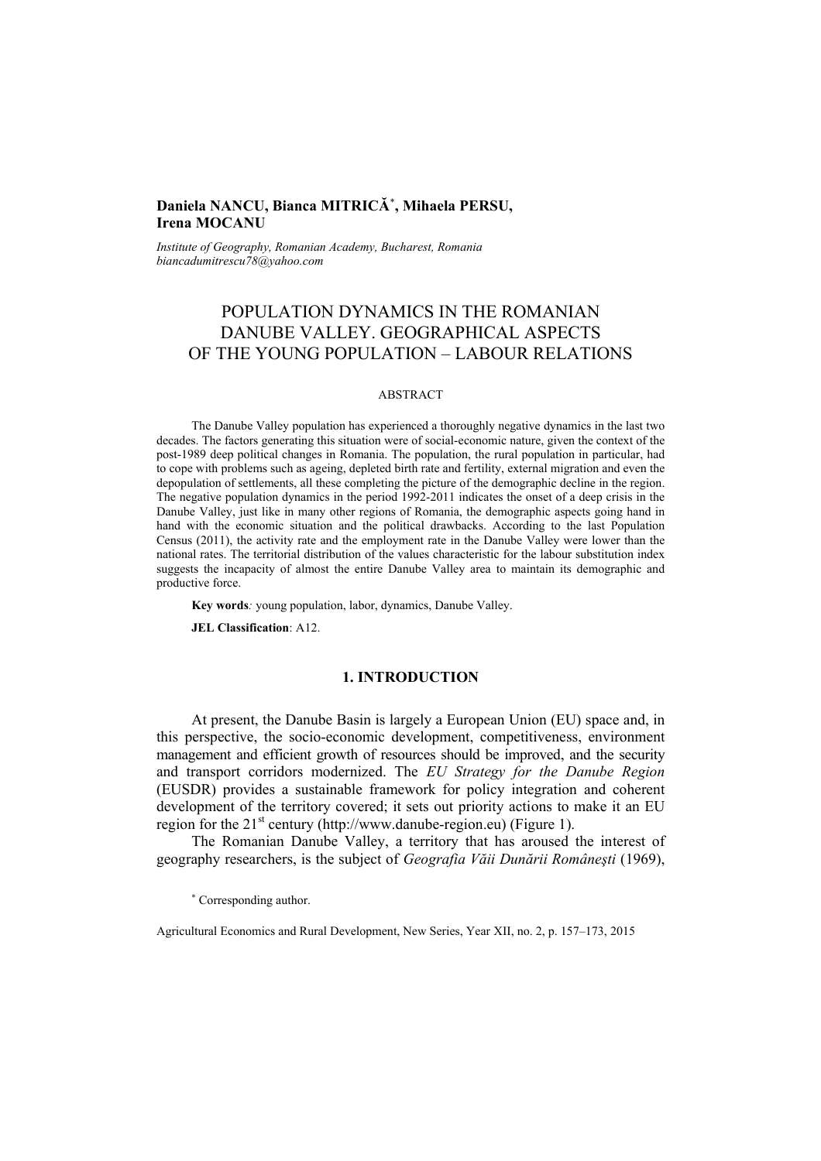## **Daniela NANCU, Bianca MITRICĂ**<sup>∗</sup> **, Mihaela PERSU, Irena MOCANU**

*Institute of Geography, Romanian Academy, Bucharest, Romania biancadumitrescu78@yahoo.com* 

# POPULATION DYNAMICS IN THE ROMANIAN DANUBE VALLEY. GEOGRAPHICAL ASPECTS OF THE YOUNG POPULATION – LABOUR RELATIONS

#### ABSTRACT

The Danube Valley population has experienced a thoroughly negative dynamics in the last two decades. The factors generating this situation were of social-economic nature, given the context of the post-1989 deep political changes in Romania. The population, the rural population in particular, had to cope with problems such as ageing, depleted birth rate and fertility, external migration and even the depopulation of settlements, all these completing the picture of the demographic decline in the region. The negative population dynamics in the period 1992-2011 indicates the onset of a deep crisis in the Danube Valley, just like in many other regions of Romania, the demographic aspects going hand in hand with the economic situation and the political drawbacks. According to the last Population Census (2011), the activity rate and the employment rate in the Danube Valley were lower than the national rates. The territorial distribution of the values characteristic for the labour substitution index suggests the incapacity of almost the entire Danube Valley area to maintain its demographic and productive force.

**Key words***:* young population, labor, dynamics, Danube Valley.

**JEL Classification**: A12.

### **1. INTRODUCTION**

At present, the Danube Basin is largely a European Union (EU) space and, in this perspective, the socio-economic development, competitiveness, environment management and efficient growth of resources should be improved, and the security and transport corridors modernized. The *EU Strategy for the Danube Region* (EUSDR) provides a sustainable framework for policy integration and coherent development of the territory covered; it sets out priority actions to make it an EU region for the  $21<sup>st</sup>$  century (http://www.danube-region.eu) (Figure 1).

The Romanian Danube Valley, a territory that has aroused the interest of geography researchers, is the subject of *Geografia Văii Dunării Româneşti* (1969),

∗ Corresponding author.

Agricultural Economics and Rural Development, New Series, Year XII, no. 2, p. 157–173, 2015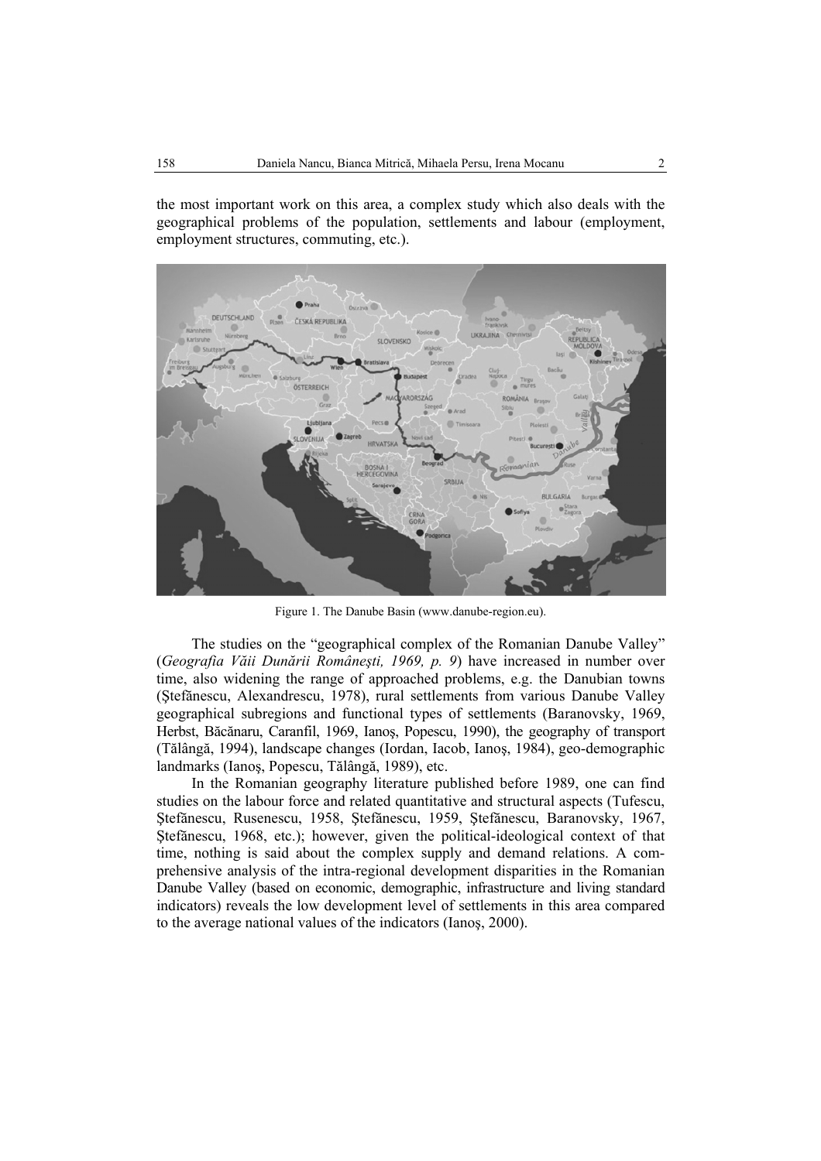the most important work on this area, a complex study which also deals with the geographical problems of the population, settlements and labour (employment, employment structures, commuting, etc.).



Figure 1. The Danube Basin (www.danube-region.eu).

The studies on the "geographical complex of the Romanian Danube Valley" (*Geografia Văii Dunării Româneşti, 1969, p. 9*) have increased in number over time, also widening the range of approached problems, e.g. the Danubian towns (Ştefănescu, Alexandrescu, 1978), rural settlements from various Danube Valley geographical subregions and functional types of settlements (Baranovsky, 1969, Herbst, Băcănaru, Caranfil, 1969, Ianoş, Popescu, 1990), the geography of transport (Tălângă, 1994), landscape changes (Iordan, Iacob, Ianoş, 1984), geo-demographic landmarks (Ianoş, Popescu, Tălângă, 1989), etc.

In the Romanian geography literature published before 1989, one can find studies on the labour force and related quantitative and structural aspects (Tufescu, Ştefănescu, Rusenescu, 1958, Ştefănescu, 1959, Ştefănescu, Baranovsky, 1967, Ştefănescu, 1968, etc.); however, given the political-ideological context of that time, nothing is said about the complex supply and demand relations. A comprehensive analysis of the intra-regional development disparities in the Romanian Danube Valley (based on economic, demographic, infrastructure and living standard indicators) reveals the low development level of settlements in this area compared to the average national values of the indicators (Ianoş, 2000).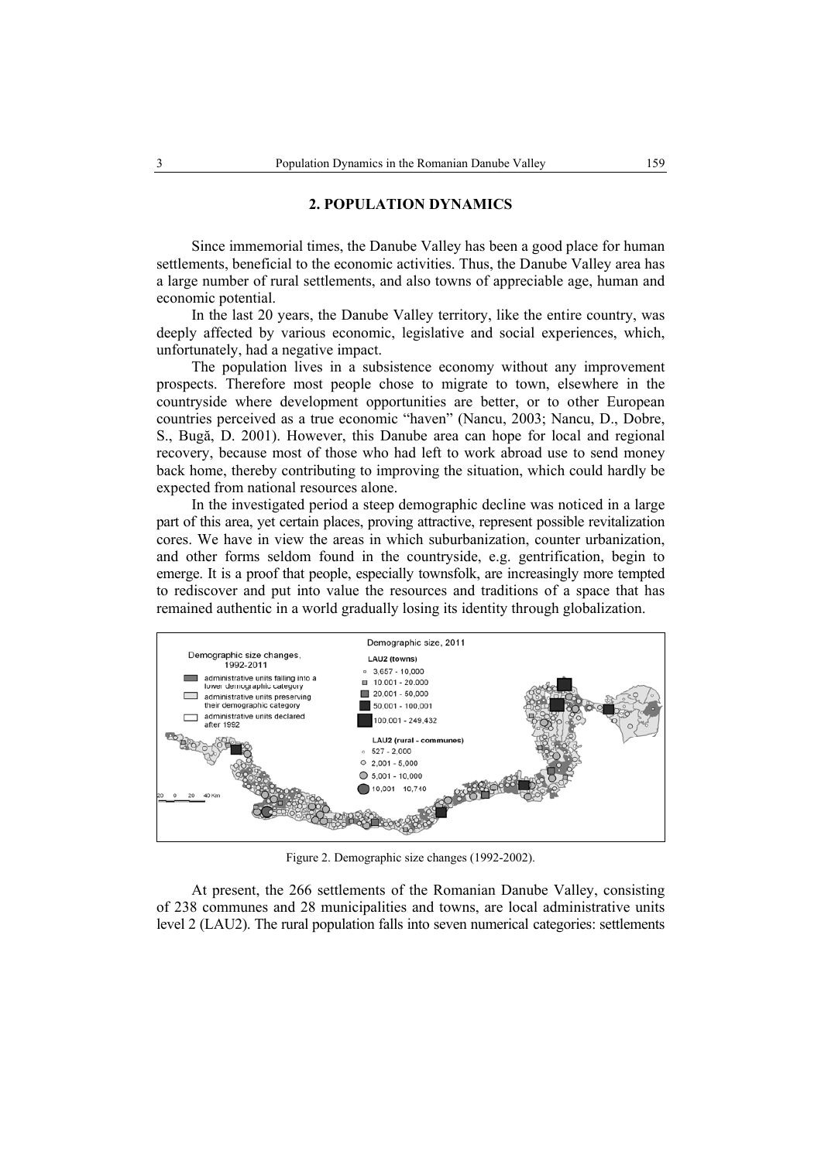### **2. POPULATION DYNAMICS**

Since immemorial times, the Danube Valley has been a good place for human settlements, beneficial to the economic activities. Thus, the Danube Valley area has a large number of rural settlements, and also towns of appreciable age, human and economic potential.

In the last 20 years, the Danube Valley territory, like the entire country, was deeply affected by various economic, legislative and social experiences, which, unfortunately, had a negative impact.

The population lives in a subsistence economy without any improvement prospects. Therefore most people chose to migrate to town, elsewhere in the countryside where development opportunities are better, or to other European countries perceived as a true economic "haven" (Nancu, 2003; Nancu, D., Dobre, S., Bugă, D. 2001). However, this Danube area can hope for local and regional recovery, because most of those who had left to work abroad use to send money back home, thereby contributing to improving the situation, which could hardly be expected from national resources alone.

In the investigated period a steep demographic decline was noticed in a large part of this area, yet certain places, proving attractive, represent possible revitalization cores. We have in view the areas in which suburbanization, counter urbanization, and other forms seldom found in the countryside, e.g. gentrification, begin to emerge. It is a proof that people, especially townsfolk, are increasingly more tempted to rediscover and put into value the resources and traditions of a space that has remained authentic in a world gradually losing its identity through globalization.



Figure 2. Demographic size changes (1992-2002).

At present, the 266 settlements of the Romanian Danube Valley, consisting of 238 communes and 28 municipalities and towns, are local administrative units level 2 (LAU2). The rural population falls into seven numerical categories: settlements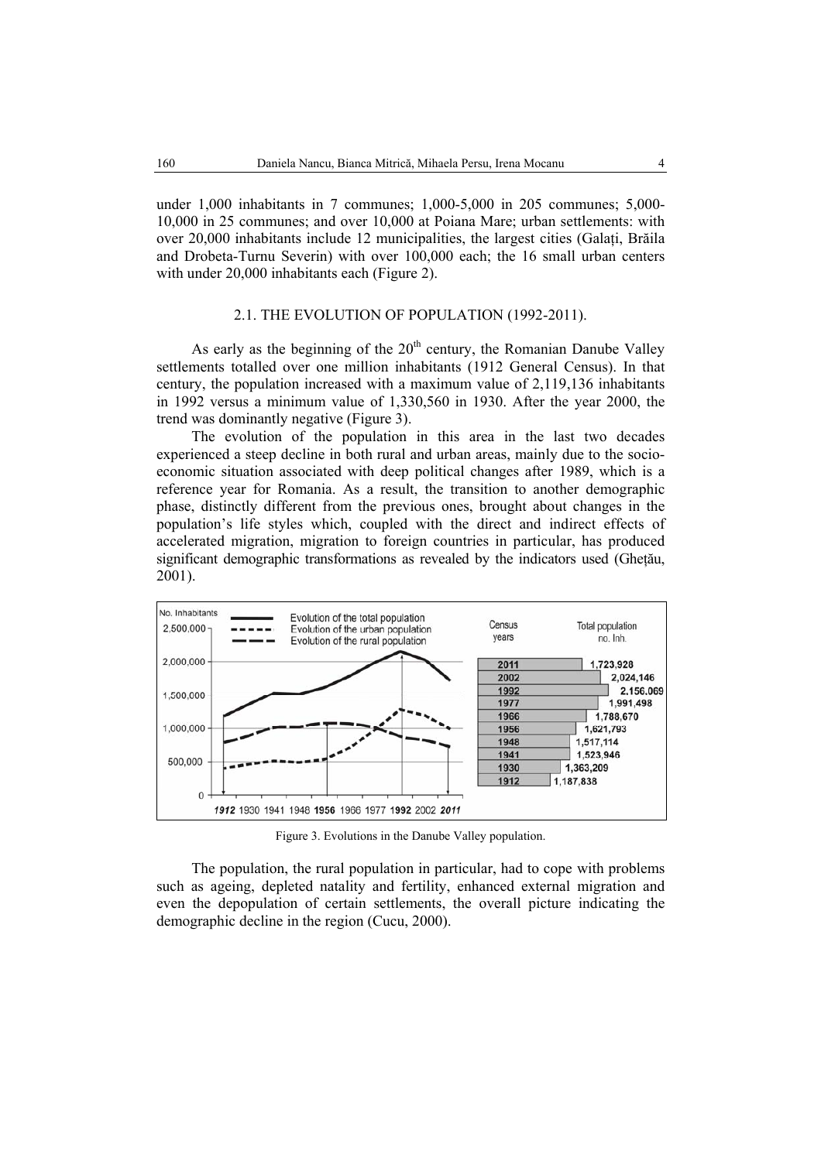under 1,000 inhabitants in 7 communes; 1,000-5,000 in 205 communes; 5,000- 10,000 in 25 communes; and over 10,000 at Poiana Mare; urban settlements: with over 20,000 inhabitants include 12 municipalities, the largest cities (Galati, Brăila and Drobeta-Turnu Severin) with over 100,000 each; the 16 small urban centers with under 20,000 inhabitants each (Figure 2).

### 2.1. THE EVOLUTION OF POPULATION (1992-2011).

As early as the beginning of the  $20<sup>th</sup>$  century, the Romanian Danube Valley settlements totalled over one million inhabitants (1912 General Census). In that century, the population increased with a maximum value of 2,119,136 inhabitants in 1992 versus a minimum value of 1,330,560 in 1930. After the year 2000, the trend was dominantly negative (Figure 3).

The evolution of the population in this area in the last two decades experienced a steep decline in both rural and urban areas, mainly due to the socioeconomic situation associated with deep political changes after 1989, which is a reference year for Romania. As a result, the transition to another demographic phase, distinctly different from the previous ones, brought about changes in the population's life styles which, coupled with the direct and indirect effects of accelerated migration, migration to foreign countries in particular, has produced significant demographic transformations as revealed by the indicators used (Ghetău, 2001).



Figure 3. Evolutions in the Danube Valley population.

The population, the rural population in particular, had to cope with problems such as ageing, depleted natality and fertility, enhanced external migration and even the depopulation of certain settlements, the overall picture indicating the demographic decline in the region (Cucu, 2000).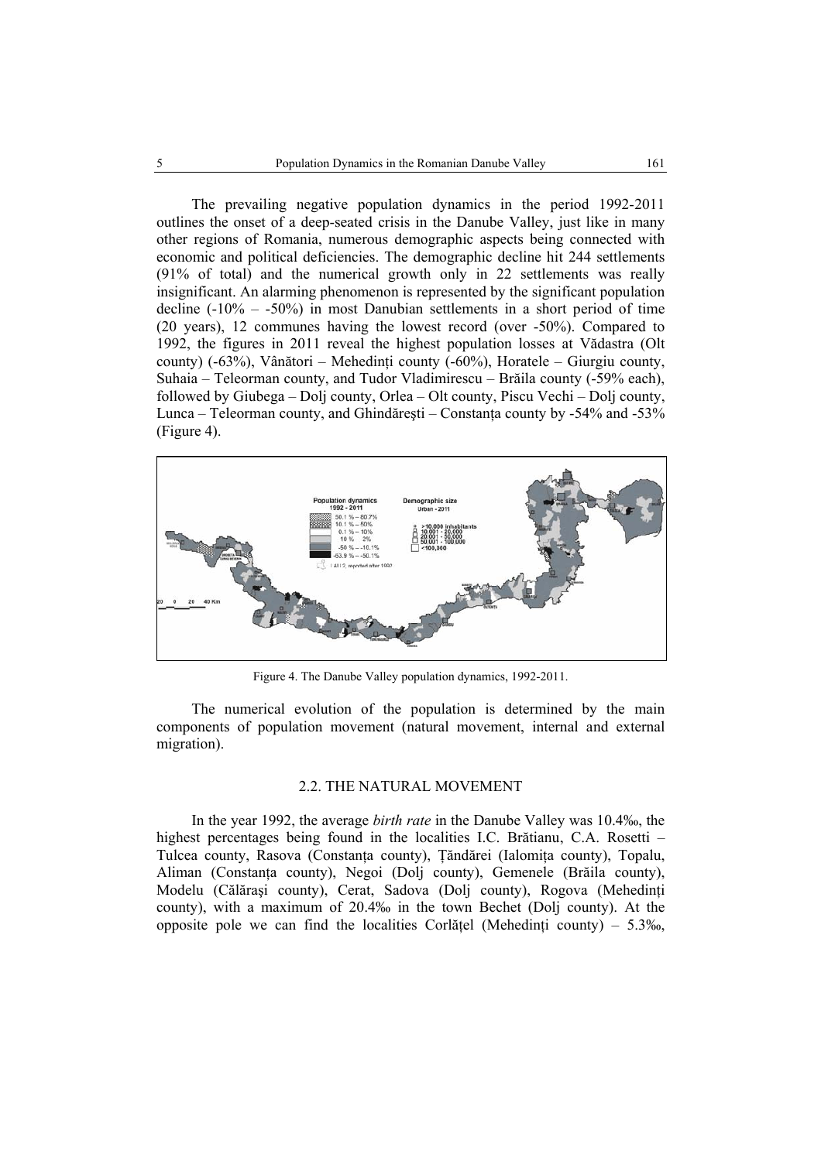The prevailing negative population dynamics in the period 1992-2011 outlines the onset of a deep-seated crisis in the Danube Valley, just like in many other regions of Romania, numerous demographic aspects being connected with economic and political deficiencies. The demographic decline hit 244 settlements (91% of total) and the numerical growth only in 22 settlements was really insignificant. An alarming phenomenon is represented by the significant population decline  $(-10\% - 50\%)$  in most Danubian settlements in a short period of time (20 years), 12 communes having the lowest record (over -50%). Compared to 1992, the figures in 2011 reveal the highest population losses at Vădastra (Olt county)  $(-63\%)$ , Vânători – Mehedinți county  $(-60\%)$ , Horatele – Giurgiu county, Suhaia – Teleorman county, and Tudor Vladimirescu – Brăila county (-59% each), followed by Giubega – Dolj county, Orlea – Olt county, Piscu Vechi – Dolj county, Lunca – Teleorman county, and Ghindăreşti – Constanţa county by -54% and -53% (Figure 4).



Figure 4. The Danube Valley population dynamics, 1992-2011.

The numerical evolution of the population is determined by the main components of population movement (natural movement, internal and external migration).

#### 2.2. THE NATURAL MOVEMENT

In the year 1992, the average *birth rate* in the Danube Valley was 10.4‰, the highest percentages being found in the localities I.C. Brătianu, C.A. Rosetti – Tulcea county, Rasova (Constanta county), Tăndărei (Ialomita county), Topalu, Aliman (Constanţa county), Negoi (Dolj county), Gemenele (Brăila county), Modelu (Călăraşi county), Cerat, Sadova (Dolj county), Rogova (Mehedinţi county), with a maximum of 20.4‰ in the town Bechet (Dolj county). At the opposite pole we can find the localities Corlățel (Mehedinți county) – 5.3‰,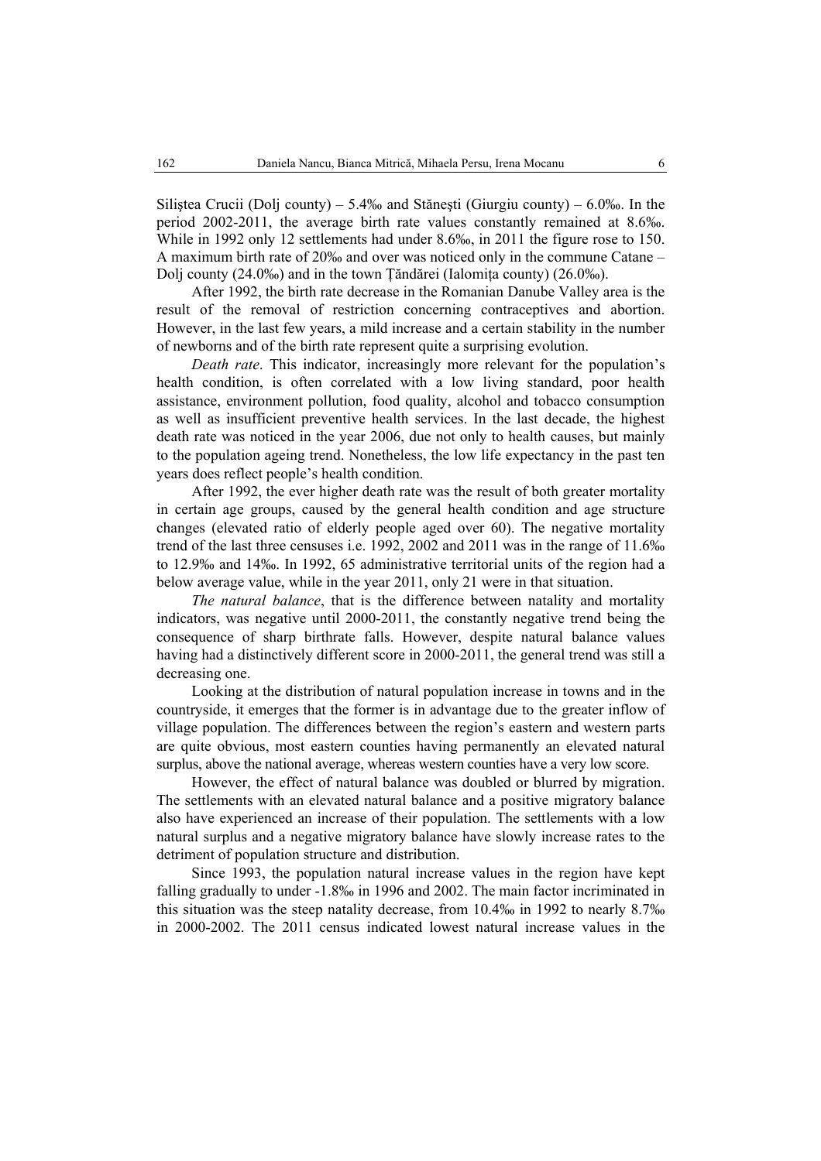Siliştea Crucii (Dolj county) – 5.4‰ and Stăneşti (Giurgiu county) – 6.0‰. In the period 2002-2011, the average birth rate values constantly remained at 8.6‰. While in 1992 only 12 settlements had under 8.6‰, in 2011 the figure rose to 150. A maximum birth rate of 20‰ and over was noticed only in the commune Catane – Dolj county (24.0‰) and in the town Ţăndărei (Ialomiţa county) (26.0‰).

After 1992, the birth rate decrease in the Romanian Danube Valley area is the result of the removal of restriction concerning contraceptives and abortion. However, in the last few years, a mild increase and a certain stability in the number of newborns and of the birth rate represent quite a surprising evolution.

*Death rate*. This indicator, increasingly more relevant for the population's health condition, is often correlated with a low living standard, poor health assistance, environment pollution, food quality, alcohol and tobacco consumption as well as insufficient preventive health services. In the last decade, the highest death rate was noticed in the year 2006, due not only to health causes, but mainly to the population ageing trend. Nonetheless, the low life expectancy in the past ten years does reflect people's health condition.

After 1992, the ever higher death rate was the result of both greater mortality in certain age groups, caused by the general health condition and age structure changes (elevated ratio of elderly people aged over 60). The negative mortality trend of the last three censuses i.e. 1992, 2002 and 2011 was in the range of 11.6‰ to 12.9‰ and 14‰. In 1992, 65 administrative territorial units of the region had a below average value, while in the year 2011, only 21 were in that situation.

*The natural balance*, that is the difference between natality and mortality indicators, was negative until 2000-2011, the constantly negative trend being the consequence of sharp birthrate falls. However, despite natural balance values having had a distinctively different score in 2000-2011, the general trend was still a decreasing one.

Looking at the distribution of natural population increase in towns and in the countryside, it emerges that the former is in advantage due to the greater inflow of village population. The differences between the region's eastern and western parts are quite obvious, most eastern counties having permanently an elevated natural surplus, above the national average, whereas western counties have a very low score.

However, the effect of natural balance was doubled or blurred by migration. The settlements with an elevated natural balance and a positive migratory balance also have experienced an increase of their population. The settlements with a low natural surplus and a negative migratory balance have slowly increase rates to the detriment of population structure and distribution.

Since 1993, the population natural increase values in the region have kept falling gradually to under -1.8‰ in 1996 and 2002. The main factor incriminated in this situation was the steep natality decrease, from 10.4‰ in 1992 to nearly 8.7‰ in 2000-2002. The 2011 census indicated lowest natural increase values in the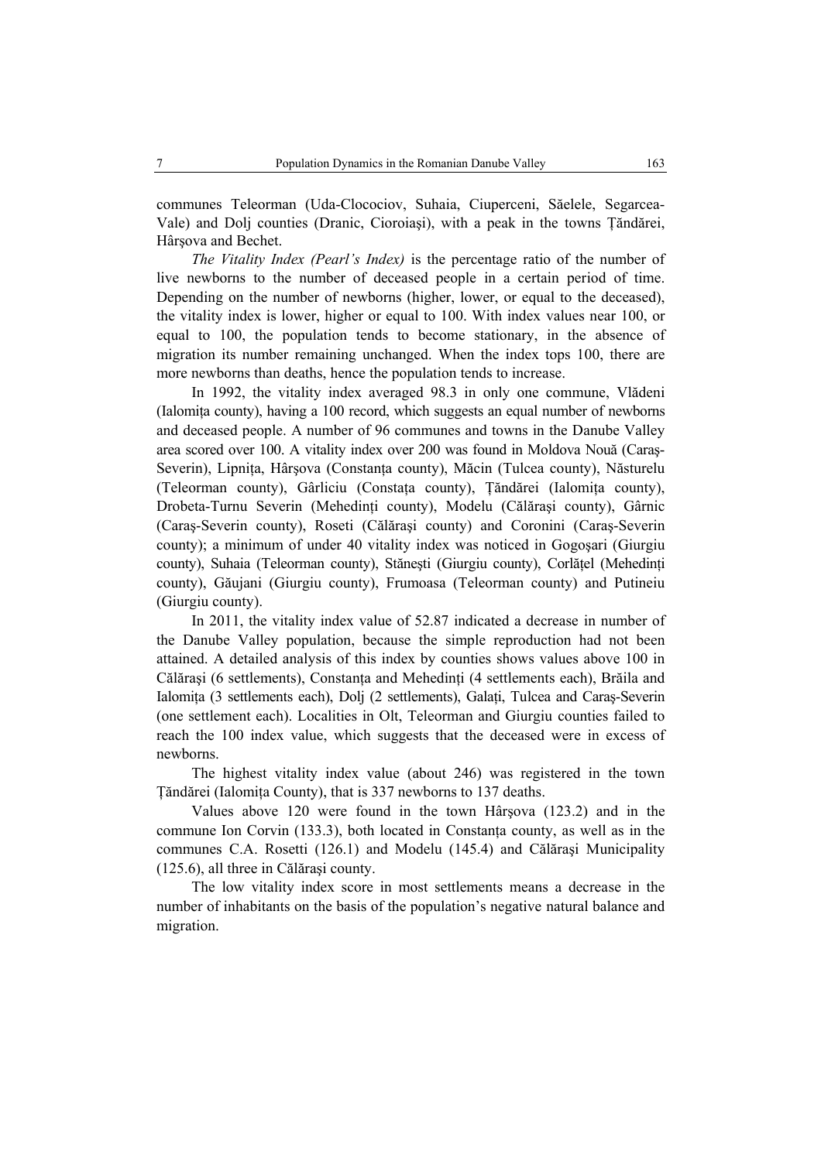communes Teleorman (Uda-Clocociov, Suhaia, Ciuperceni, Săelele, Segarcea-Vale) and Dolj counties (Dranic, Cioroiaşi), with a peak in the towns Ţăndărei, Hârşova and Bechet.

*The Vitality Index (Pearl's Index)* is the percentage ratio of the number of live newborns to the number of deceased people in a certain period of time. Depending on the number of newborns (higher, lower, or equal to the deceased), the vitality index is lower, higher or equal to 100. With index values near 100, or equal to 100, the population tends to become stationary, in the absence of migration its number remaining unchanged. When the index tops 100, there are more newborns than deaths, hence the population tends to increase.

In 1992, the vitality index averaged 98.3 in only one commune, Vlădeni (Ialomiţa county), having a 100 record, which suggests an equal number of newborns and deceased people. A number of 96 communes and towns in the Danube Valley area scored over 100. A vitality index over 200 was found in Moldova Nouă (Caraş-Severin), Lipnita, Hârsova (Constanta county), Măcin (Tulcea county), Năsturelu (Teleorman county), Gârliciu (Constaţa county), Ţăndărei (Ialomiţa county), Drobeta-Turnu Severin (Mehedinţi county), Modelu (Călăraşi county), Gârnic (Caraş-Severin county), Roseti (Călăraşi county) and Coronini (Caraş-Severin county); a minimum of under 40 vitality index was noticed in Gogoşari (Giurgiu county), Suhaia (Teleorman county), Stăneşti (Giurgiu county), Corlăţel (Mehedinţi county), Găujani (Giurgiu county), Frumoasa (Teleorman county) and Putineiu (Giurgiu county).

In 2011, the vitality index value of 52.87 indicated a decrease in number of the Danube Valley population, because the simple reproduction had not been attained. A detailed analysis of this index by counties shows values above 100 in Călărași (6 settlements), Constanța and Mehedinți (4 settlements each), Brăila and Ialomiţa (3 settlements each), Dolj (2 settlements), Galaţi, Tulcea and Caraş-Severin (one settlement each). Localities in Olt, Teleorman and Giurgiu counties failed to reach the 100 index value, which suggests that the deceased were in excess of newborns.

The highest vitality index value (about 246) was registered in the town Ţăndărei (Ialomiţa County), that is 337 newborns to 137 deaths.

Values above 120 were found in the town Hârşova (123.2) and in the commune Ion Corvin (133.3), both located in Constanţa county, as well as in the communes C.A. Rosetti (126.1) and Modelu (145.4) and Călăraşi Municipality (125.6), all three in Călăraşi county.

The low vitality index score in most settlements means a decrease in the number of inhabitants on the basis of the population's negative natural balance and migration.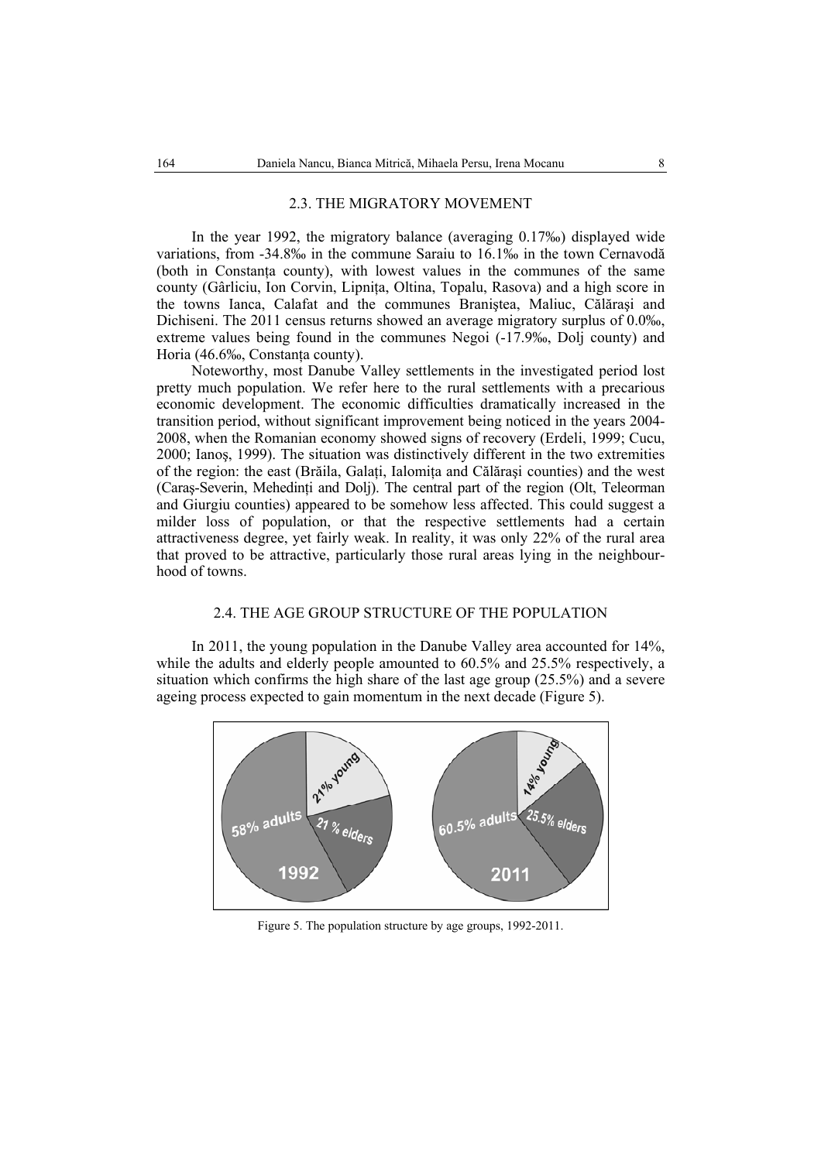#### 2.3. THE MIGRATORY MOVEMENT

In the year 1992, the migratory balance (averaging 0.17‰) displayed wide variations, from -34.8‰ in the commune Saraiu to 16.1‰ in the town Cernavodă (both in Constanţa county), with lowest values in the communes of the same county (Gârliciu, Ion Corvin, Lipniţa, Oltina, Topalu, Rasova) and a high score in the towns Ianca, Calafat and the communes Braniştea, Maliuc, Călăraşi and Dichiseni. The 2011 census returns showed an average migratory surplus of 0.0‰, extreme values being found in the communes Negoi (-17.9‰, Dolj county) and Horia (46.6‰, Constanța county).

Noteworthy, most Danube Valley settlements in the investigated period lost pretty much population. We refer here to the rural settlements with a precarious economic development. The economic difficulties dramatically increased in the transition period, without significant improvement being noticed in the years 2004- 2008, when the Romanian economy showed signs of recovery (Erdeli, 1999; Cucu, 2000; Ianoş, 1999). The situation was distinctively different in the two extremities of the region: the east (Brăila, Galaţi, Ialomiţa and Călăraşi counties) and the west (Caraş-Severin, Mehedinţi and Dolj). The central part of the region (Olt, Teleorman and Giurgiu counties) appeared to be somehow less affected. This could suggest a milder loss of population, or that the respective settlements had a certain attractiveness degree, yet fairly weak. In reality, it was only 22% of the rural area that proved to be attractive, particularly those rural areas lying in the neighbourhood of towns.

### 2.4. THE AGE GROUP STRUCTURE OF THE POPULATION

In 2011, the young population in the Danube Valley area accounted for 14%, while the adults and elderly people amounted to 60.5% and 25.5% respectively, a situation which confirms the high share of the last age group (25.5%) and a severe ageing process expected to gain momentum in the next decade (Figure 5).



Figure 5. The population structure by age groups, 1992-2011.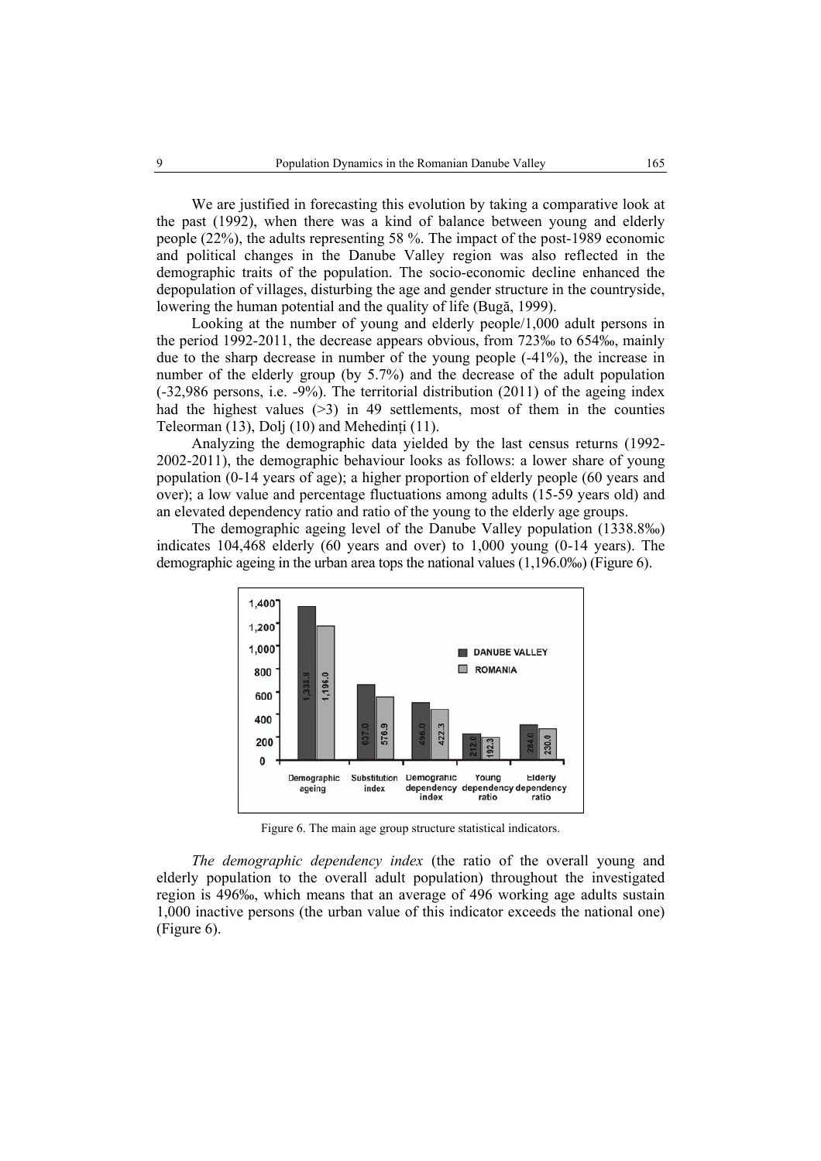We are justified in forecasting this evolution by taking a comparative look at the past (1992), when there was a kind of balance between young and elderly people (22%), the adults representing 58 %. The impact of the post-1989 economic and political changes in the Danube Valley region was also reflected in the demographic traits of the population. The socio-economic decline enhanced the depopulation of villages, disturbing the age and gender structure in the countryside, lowering the human potential and the quality of life (Bugă, 1999).

Looking at the number of young and elderly people/1,000 adult persons in the period 1992-2011, the decrease appears obvious, from 723‰ to 654‰, mainly due to the sharp decrease in number of the young people (-41%), the increase in number of the elderly group (by 5.7%) and the decrease of the adult population (-32,986 persons, i.e. -9%). The territorial distribution (2011) of the ageing index had the highest values  $(>3)$  in 49 settlements, most of them in the counties Teleorman (13), Dolj (10) and Mehedinți (11).

Analyzing the demographic data yielded by the last census returns (1992- 2002-2011), the demographic behaviour looks as follows: a lower share of young population (0-14 years of age); a higher proportion of elderly people (60 years and over); a low value and percentage fluctuations among adults (15-59 years old) and an elevated dependency ratio and ratio of the young to the elderly age groups.

The demographic ageing level of the Danube Valley population (1338.8‰) indicates 104,468 elderly (60 years and over) to 1,000 young (0-14 years). The demographic ageing in the urban area tops the national values (1,196.0‰) (Figure 6).



Figure 6. The main age group structure statistical indicators.

*The demographic dependency index* (the ratio of the overall young and elderly population to the overall adult population) throughout the investigated region is 496‰, which means that an average of 496 working age adults sustain 1,000 inactive persons (the urban value of this indicator exceeds the national one) (Figure 6).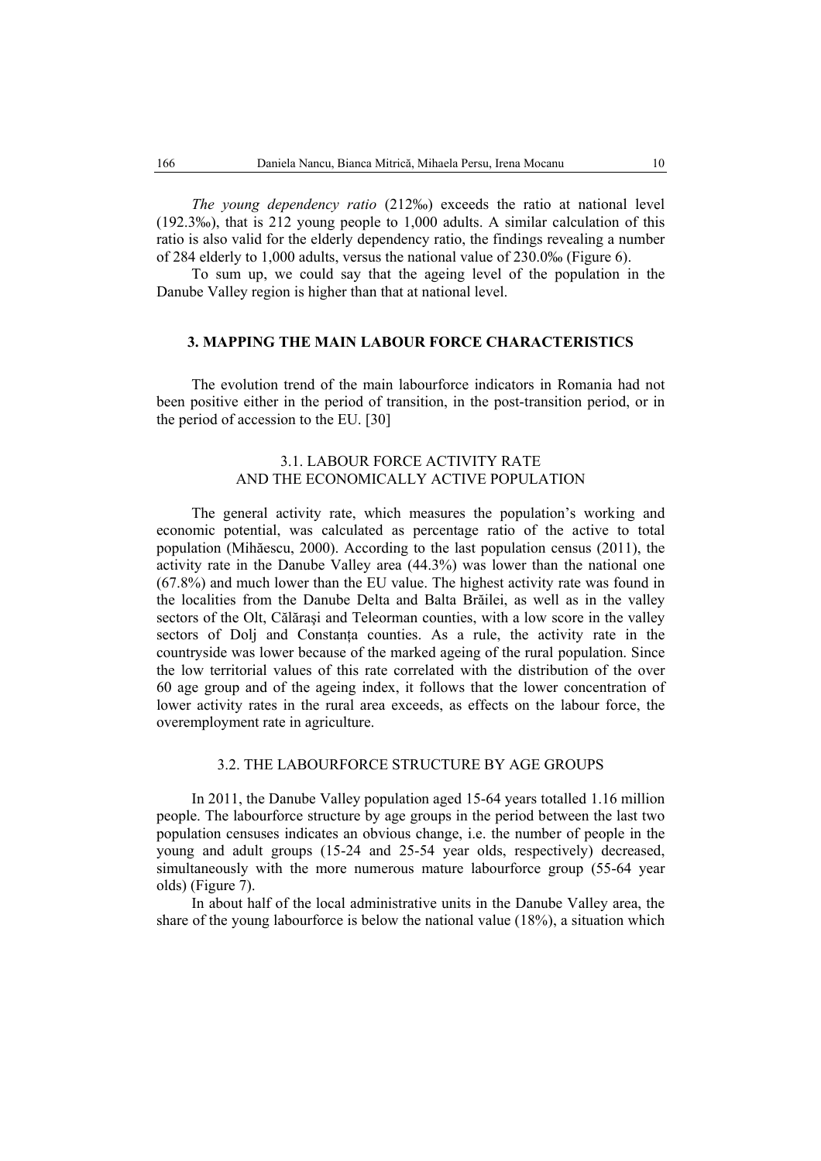*The young dependency ratio* (212‰) exceeds the ratio at national level (192.3‰), that is 212 young people to 1,000 adults. A similar calculation of this ratio is also valid for the elderly dependency ratio, the findings revealing a number of 284 elderly to 1,000 adults, versus the national value of 230.0‰ (Figure 6).

To sum up, we could say that the ageing level of the population in the Danube Valley region is higher than that at national level.

## **3. MAPPING THE MAIN LABOUR FORCE CHARACTERISTICS**

The evolution trend of the main labourforce indicators in Romania had not been positive either in the period of transition, in the post-transition period, or in the period of accession to the EU. [30]

## 3.1. LABOUR FORCE ACTIVITY RATE AND THE ECONOMICALLY ACTIVE POPULATION

The general activity rate, which measures the population's working and economic potential, was calculated as percentage ratio of the active to total population (Mihăescu, 2000). According to the last population census (2011), the activity rate in the Danube Valley area (44.3%) was lower than the national one (67.8%) and much lower than the EU value. The highest activity rate was found in the localities from the Danube Delta and Balta Brăilei, as well as in the valley sectors of the Olt, Călăraşi and Teleorman counties, with a low score in the valley sectors of Dolj and Constanţa counties. As a rule, the activity rate in the countryside was lower because of the marked ageing of the rural population. Since the low territorial values of this rate correlated with the distribution of the over 60 age group and of the ageing index, it follows that the lower concentration of lower activity rates in the rural area exceeds, as effects on the labour force, the overemployment rate in agriculture.

## 3.2. THE LABOURFORCE STRUCTURE BY AGE GROUPS

In 2011, the Danube Valley population aged 15-64 years totalled 1.16 million people. The labourforce structure by age groups in the period between the last two population censuses indicates an obvious change, i.e. the number of people in the young and adult groups (15-24 and 25-54 year olds, respectively) decreased, simultaneously with the more numerous mature labourforce group (55-64 year olds) (Figure 7).

In about half of the local administrative units in the Danube Valley area, the share of the young labourforce is below the national value (18%), a situation which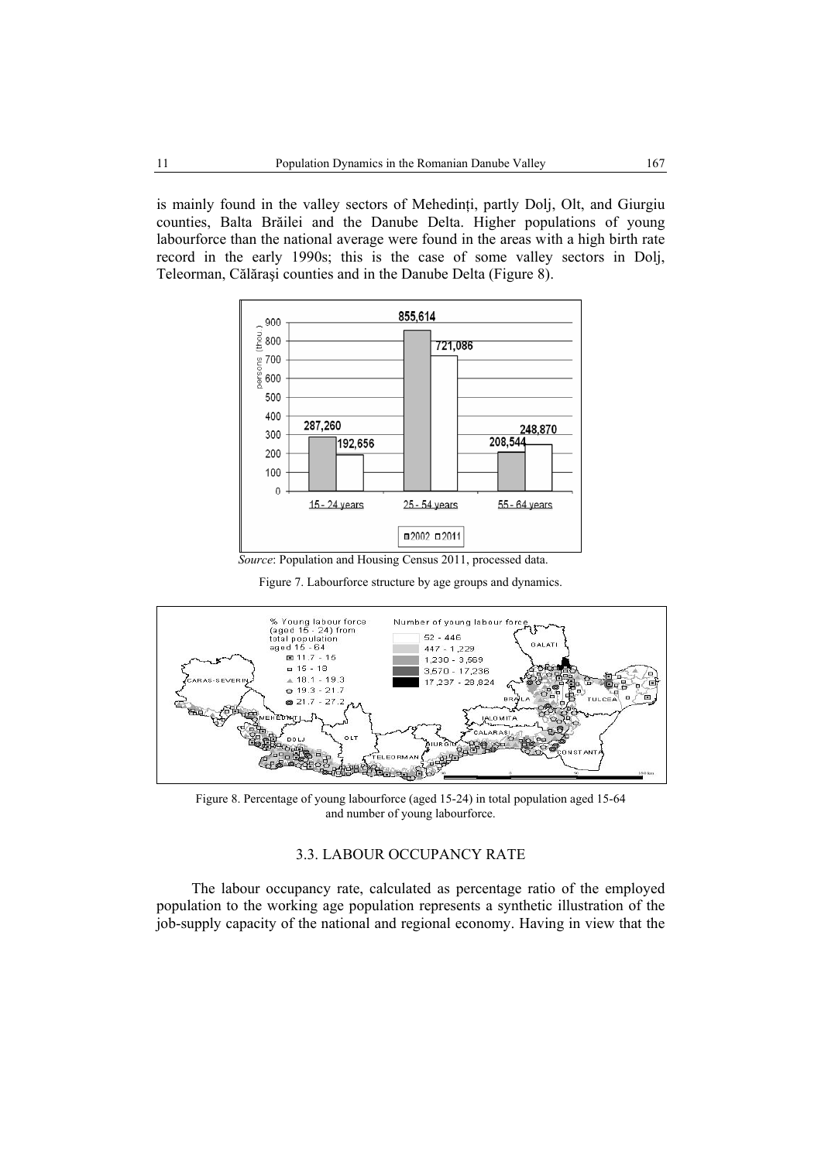is mainly found in the valley sectors of Mehedinți, partly Dolj, Olt, and Giurgiu counties, Balta Brăilei and the Danube Delta. Higher populations of young labourforce than the national average were found in the areas with a high birth rate record in the early 1990s; this is the case of some valley sectors in Dolj, Teleorman, Călăraşi counties and in the Danube Delta (Figure 8).



 *Source*: Population and Housing Census 2011, processed data.

Figure 7. Labourforce structure by age groups and dynamics.



Figure 8. Percentage of young labourforce (aged 15-24) in total population aged 15-64 and number of young labourforce.

## 3.3. LABOUR OCCUPANCY RATE

The labour occupancy rate, calculated as percentage ratio of the employed population to the working age population represents a synthetic illustration of the job-supply capacity of the national and regional economy. Having in view that the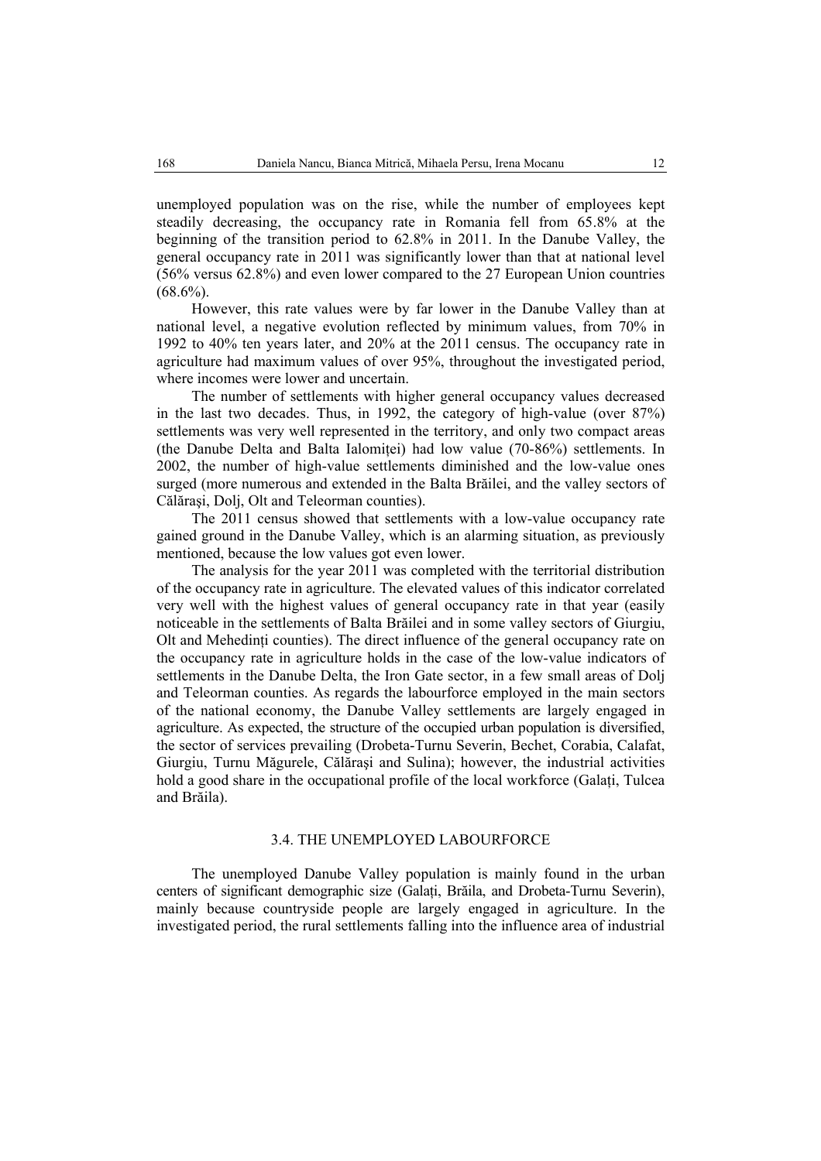unemployed population was on the rise, while the number of employees kept steadily decreasing, the occupancy rate in Romania fell from 65.8% at the beginning of the transition period to 62.8% in 2011. In the Danube Valley, the general occupancy rate in 2011 was significantly lower than that at national level (56% versus 62.8%) and even lower compared to the 27 European Union countries  $(68.6\%)$ .

However, this rate values were by far lower in the Danube Valley than at national level, a negative evolution reflected by minimum values, from 70% in 1992 to 40% ten years later, and 20% at the 2011 census. The occupancy rate in agriculture had maximum values of over 95%, throughout the investigated period, where incomes were lower and uncertain.

The number of settlements with higher general occupancy values decreased in the last two decades. Thus, in 1992, the category of high-value (over 87%) settlements was very well represented in the territory, and only two compact areas (the Danube Delta and Balta Ialomitei) had low value (70-86%) settlements. In 2002, the number of high-value settlements diminished and the low-value ones surged (more numerous and extended in the Balta Brăilei, and the valley sectors of Călăraşi, Dolj, Olt and Teleorman counties).

The 2011 census showed that settlements with a low-value occupancy rate gained ground in the Danube Valley, which is an alarming situation, as previously mentioned, because the low values got even lower.

The analysis for the year 2011 was completed with the territorial distribution of the occupancy rate in agriculture. The elevated values of this indicator correlated very well with the highest values of general occupancy rate in that year (easily noticeable in the settlements of Balta Brăilei and in some valley sectors of Giurgiu, Olt and Mehedinţi counties). The direct influence of the general occupancy rate on the occupancy rate in agriculture holds in the case of the low-value indicators of settlements in the Danube Delta, the Iron Gate sector, in a few small areas of Dolj and Teleorman counties. As regards the labourforce employed in the main sectors of the national economy, the Danube Valley settlements are largely engaged in agriculture. As expected, the structure of the occupied urban population is diversified, the sector of services prevailing (Drobeta-Turnu Severin, Bechet, Corabia, Calafat, Giurgiu, Turnu Măgurele, Călăraşi and Sulina); however, the industrial activities hold a good share in the occupational profile of the local workforce (Galati, Tulcea and Brăila).

### 3.4. THE UNEMPLOYED LABOURFORCE

The unemployed Danube Valley population is mainly found in the urban centers of significant demographic size (Galaţi, Brăila, and Drobeta-Turnu Severin), mainly because countryside people are largely engaged in agriculture. In the investigated period, the rural settlements falling into the influence area of industrial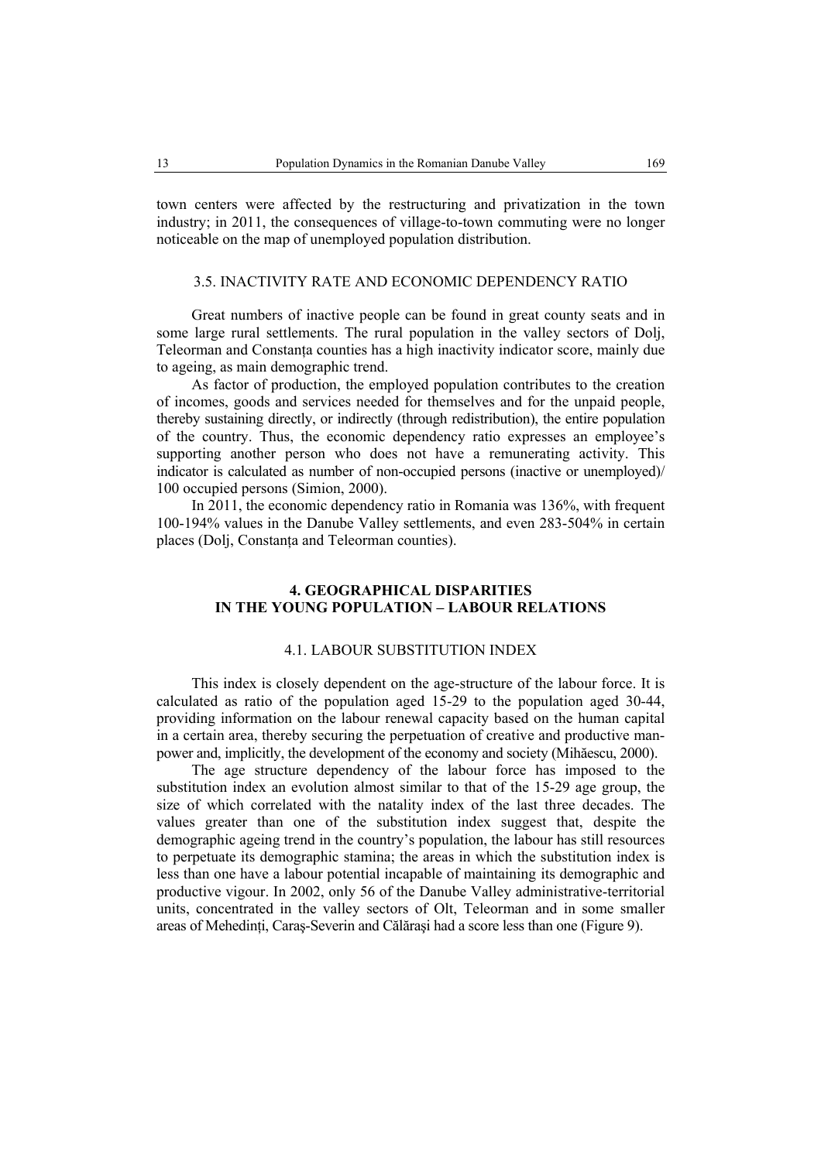town centers were affected by the restructuring and privatization in the town industry; in 2011, the consequences of village-to-town commuting were no longer noticeable on the map of unemployed population distribution.

## 3.5. INACTIVITY RATE AND ECONOMIC DEPENDENCY RATIO

Great numbers of inactive people can be found in great county seats and in some large rural settlements. The rural population in the valley sectors of Dolj, Teleorman and Constanta counties has a high inactivity indicator score, mainly due to ageing, as main demographic trend.

As factor of production, the employed population contributes to the creation of incomes, goods and services needed for themselves and for the unpaid people, thereby sustaining directly, or indirectly (through redistribution), the entire population of the country. Thus, the economic dependency ratio expresses an employee's supporting another person who does not have a remunerating activity. This indicator is calculated as number of non-occupied persons (inactive or unemployed)/ 100 occupied persons (Simion, 2000).

In 2011, the economic dependency ratio in Romania was 136%, with frequent 100-194% values in the Danube Valley settlements, and even 283-504% in certain places (Dolj, Constanta and Teleorman counties).

## **4. GEOGRAPHICAL DISPARITIES IN THE YOUNG POPULATION – LABOUR RELATIONS**

### 4.1. LABOUR SUBSTITUTION INDEX

This index is closely dependent on the age-structure of the labour force. It is calculated as ratio of the population aged 15-29 to the population aged 30-44, providing information on the labour renewal capacity based on the human capital in a certain area, thereby securing the perpetuation of creative and productive manpower and, implicitly, the development of the economy and society (Mihăescu, 2000).

The age structure dependency of the labour force has imposed to the substitution index an evolution almost similar to that of the 15-29 age group, the size of which correlated with the natality index of the last three decades. The values greater than one of the substitution index suggest that, despite the demographic ageing trend in the country's population, the labour has still resources to perpetuate its demographic stamina; the areas in which the substitution index is less than one have a labour potential incapable of maintaining its demographic and productive vigour. In 2002, only 56 of the Danube Valley administrative-territorial units, concentrated in the valley sectors of Olt, Teleorman and in some smaller areas of Mehedinţi, Caraş-Severin and Călăraşi had a score less than one (Figure 9).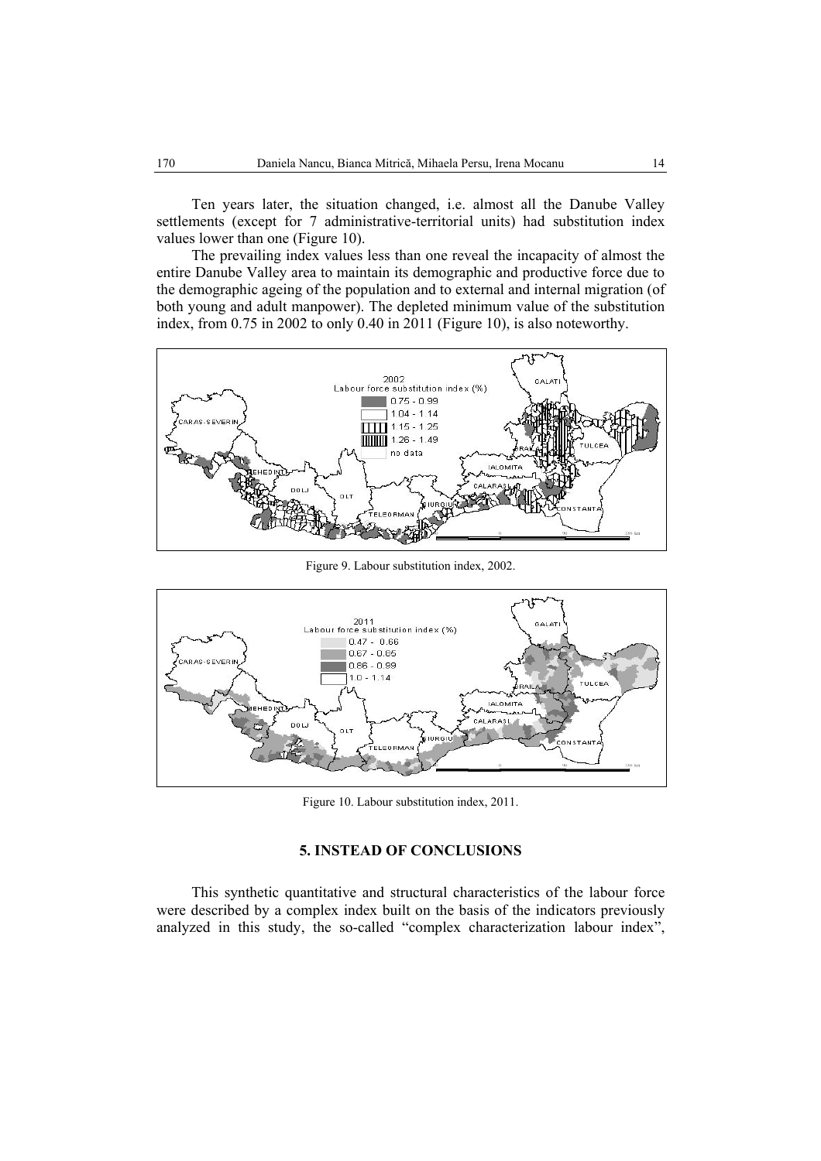Ten years later, the situation changed, i.e. almost all the Danube Valley settlements (except for 7 administrative-territorial units) had substitution index values lower than one (Figure 10).

The prevailing index values less than one reveal the incapacity of almost the entire Danube Valley area to maintain its demographic and productive force due to the demographic ageing of the population and to external and internal migration (of both young and adult manpower). The depleted minimum value of the substitution index, from 0.75 in 2002 to only 0.40 in 2011 (Figure 10), is also noteworthy.



Figure 9. Labour substitution index, 2002.



Figure 10. Labour substitution index, 2011.

### **5. INSTEAD OF CONCLUSIONS**

This synthetic quantitative and structural characteristics of the labour force were described by a complex index built on the basis of the indicators previously analyzed in this study, the so-called "complex characterization labour index",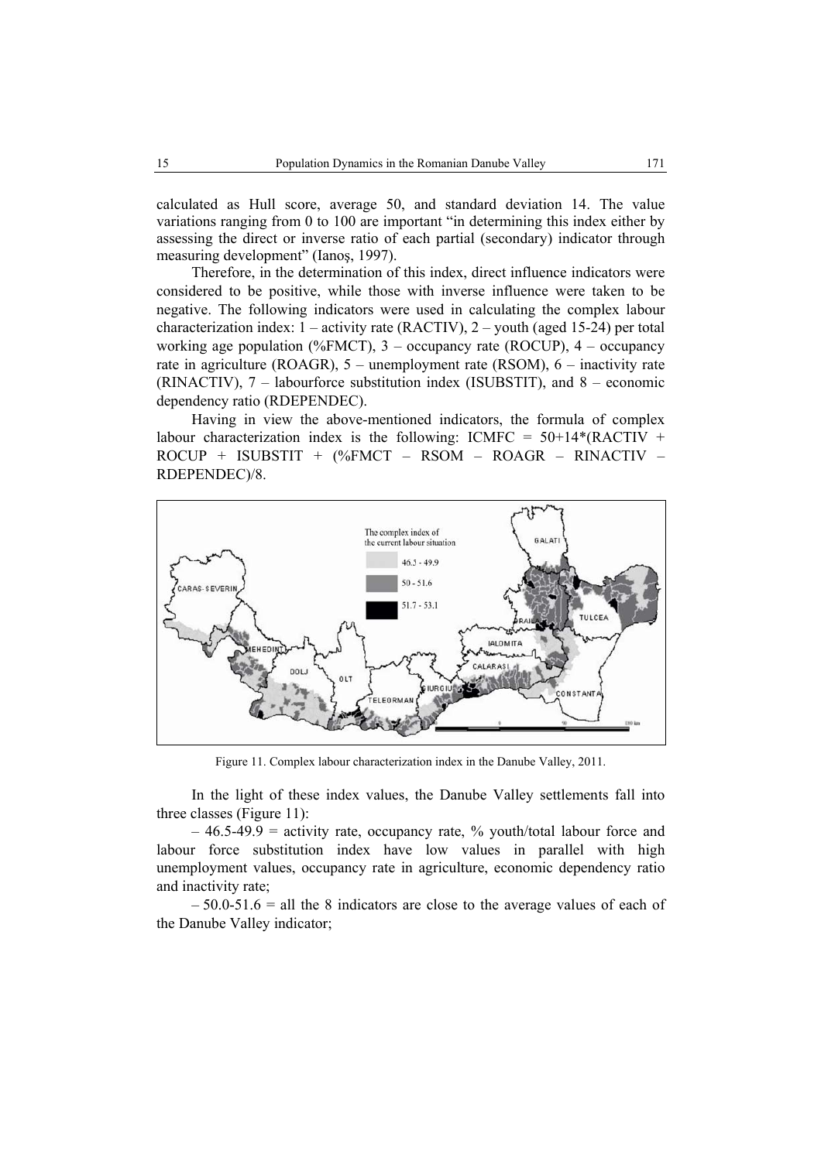calculated as Hull score, average 50, and standard deviation 14. The value variations ranging from 0 to 100 are important "in determining this index either by assessing the direct or inverse ratio of each partial (secondary) indicator through measuring development" (Ianoş, 1997).

Therefore, in the determination of this index, direct influence indicators were considered to be positive, while those with inverse influence were taken to be negative. The following indicators were used in calculating the complex labour characterization index:  $1 -$  activity rate (RACTIV),  $2 -$  youth (aged 15-24) per total working age population (%FMCT), 3 – occupancy rate (ROCUP), 4 – occupancy rate in agriculture (ROAGR), 5 – unemployment rate (RSOM), 6 – inactivity rate (RINACTIV), 7 – labourforce substitution index (ISUBSTIT), and 8 – economic dependency ratio (RDEPENDEC).

Having in view the above-mentioned indicators, the formula of complex labour characterization index is the following: ICMFC =  $50+14*(RACTIV +$ ROCUP + ISUBSTIT + (%FMCT – RSOM – ROAGR – RINACTIV – RDEPENDEC)/8.



Figure 11. Complex labour characterization index in the Danube Valley, 2011.

In the light of these index values, the Danube Valley settlements fall into three classes (Figure 11):

 $-46.5-49.9$  = activity rate, occupancy rate, % youth/total labour force and labour force substitution index have low values in parallel with high unemployment values, occupancy rate in agriculture, economic dependency ratio and inactivity rate;

 $-50.0-51.6$  = all the 8 indicators are close to the average values of each of the Danube Valley indicator;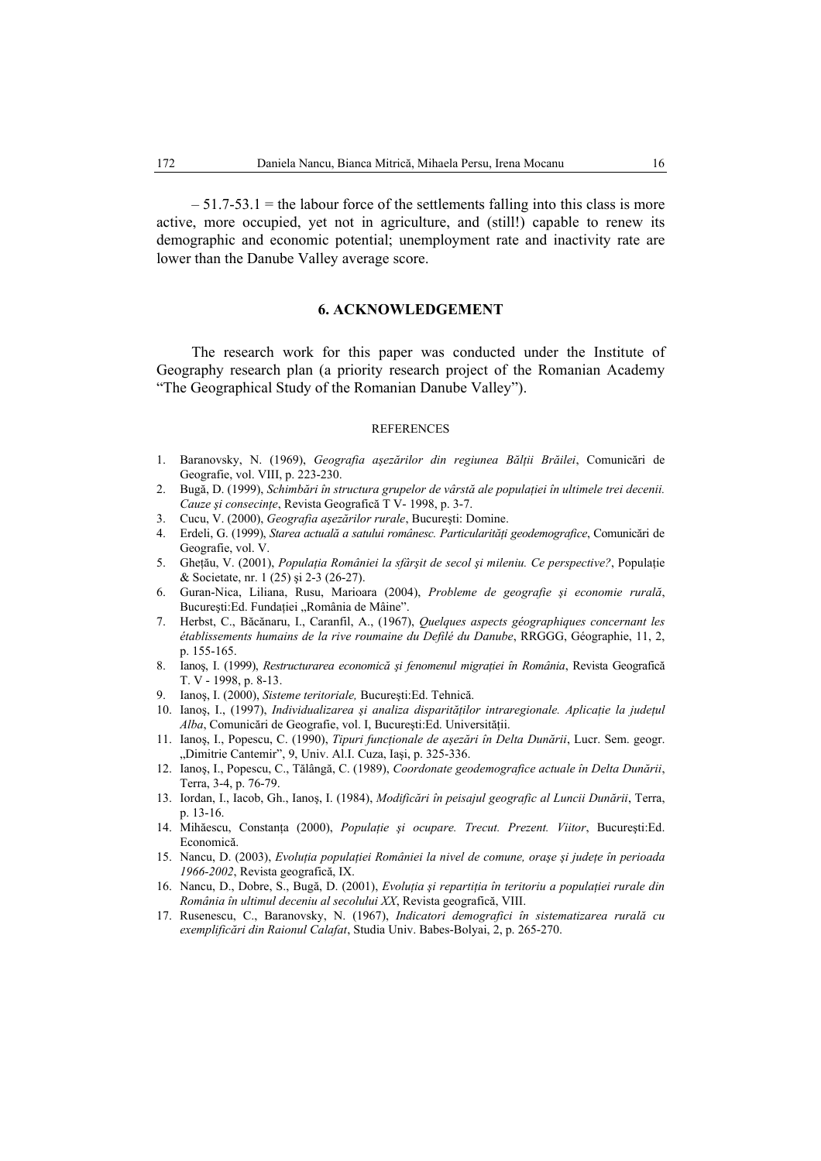$-51.7-53.1$  = the labour force of the settlements falling into this class is more active, more occupied, yet not in agriculture, and (still!) capable to renew its demographic and economic potential; unemployment rate and inactivity rate are lower than the Danube Valley average score.

### **6. ACKNOWLEDGEMENT**

The research work for this paper was conducted under the Institute of Geography research plan (a priority research project of the Romanian Academy "The Geographical Study of the Romanian Danube Valley").

### **REFERENCES**

- 1. Baranovsky, N. (1969), *Geografia aşezărilor din regiunea Bălţii Brăilei*, Comunicări de Geografie, vol. VIII, p. 223-230.
- 2. Bugă, D. (1999), *Schimbări în structura grupelor de vârstă ale populaţiei în ultimele trei decenii. Cauze şi consecinţe*, Revista Geografică T V- 1998, p. 3-7.
- 3. Cucu, V. (2000), *Geografia aşezărilor rurale*, Bucureşti: Domine.
- 4. Erdeli, G. (1999), *Starea actuală a satului românesc. Particularităţi geodemografice*, Comunicări de Geografie, vol. V.
- 5. Gheţău, V. (2001), *Populaţia României la sfârşit de secol şi mileniu. Ce perspective?*, Populaţie & Societate, nr. 1 (25) şi 2-3 (26-27).
- 6. Guran-Nica, Liliana, Rusu, Marioara (2004), *Probleme de geografie şi economie rurală*, București:Ed. Fundației "România de Mâine".
- 7. Herbst, C., Băcănaru, I., Caranfil, A., (1967), *Quelques aspects géographiques concernant les établissements humains de la rive roumaine du Defilé du Danube*, RRGGG, Géographie, 11, 2, p. 155-165.
- 8. Ianoş, I. (1999), *Restructurarea economică şi fenomenul migraţiei în România*, Revista Geografică T. V - 1998, p. 8-13.
- 9. Ianoş, I. (2000), *Sisteme teritoriale,* Bucureşti:Ed. Tehnică.
- 10. Ianoş, I., (1997), *Individualizarea şi analiza disparităţilor intraregionale. Aplicaţie la judeţul Alba*, Comunicări de Geografie, vol. I, Bucureşti:Ed. Universităţii.
- 11. Ianoş, I., Popescu, C. (1990), *Tipuri funcţionale de aşezări în Delta Dunării*, Lucr. Sem. geogr. "Dimitrie Cantemir", 9, Univ. Al.I. Cuza, Iași, p. 325-336.
- 12. Ianoş, I., Popescu, C., Tălângă, C. (1989), *Coordonate geodemografice actuale în Delta Dunării*, Terra, 3-4, p. 76-79.
- 13. Iordan, I., Iacob, Gh., Ianoş, I. (1984), *Modificări în peisajul geografic al Luncii Dunării*, Terra, p. 13-16.
- 14. Mihăescu, Constanţa (2000), *Populaţie şi ocupare. Trecut. Prezent. Viitor*, Bucureşti:Ed. Economică.
- 15. Nancu, D. (2003), *Evoluţia populaţiei României la nivel de comune, oraşe şi judeţe în perioada 1966-2002*, Revista geografică, IX.
- 16. Nancu, D., Dobre, S., Bugă, D. (2001), *Evoluţia şi repartiţia în teritoriu a populaţiei rurale din România în ultimul deceniu al secolului XX*, Revista geografică, VIII.
- 17. Rusenescu, C., Baranovsky, N. (1967), *Indicatori demografici în sistematizarea rurală cu exemplificări din Raionul Calafat*, Studia Univ. Babes-Bolyai, 2, p. 265-270.